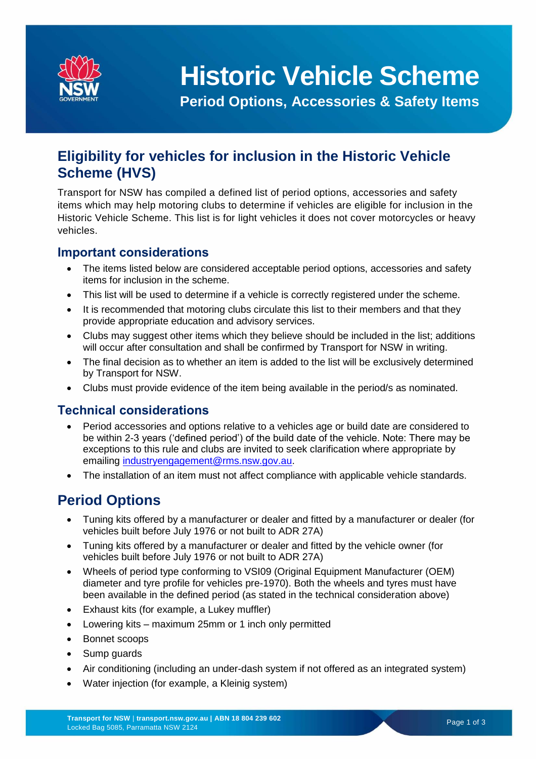

# **Historic Vehicle Scheme**

**Period Options, Accessories & Safety Items**

# **Eligibility for vehicles for inclusion in the Historic Vehicle Scheme (HVS)**

Transport for NSW has compiled a defined list of period options, accessories and safety items which may help motoring clubs to determine if vehicles are eligible for inclusion in the Historic Vehicle Scheme. This list is for light vehicles it does not cover motorcycles or heavy vehicles.

#### **Important considerations**

- The items listed below are considered acceptable period options, accessories and safety items for inclusion in the scheme.
- This list will be used to determine if a vehicle is correctly registered under the scheme.
- It is recommended that motoring clubs circulate this list to their members and that they provide appropriate education and advisory services.
- Clubs may suggest other items which they believe should be included in the list; additions will occur after consultation and shall be confirmed by Transport for NSW in writing.
- The final decision as to whether an item is added to the list will be exclusively determined by Transport for NSW.
- Clubs must provide evidence of the item being available in the period/s as nominated.

#### **Technical considerations**

- Period accessories and options relative to a vehicles age or build date are considered to be within 2-3 years ('defined period') of the build date of the vehicle. Note: There may be exceptions to this rule and clubs are invited to seek clarification where appropriate by emailing [industryengagement@rms.nsw.gov.au.](mailto:industryengagement@rms.nsw.gov.au)
- The installation of an item must not affect compliance with applicable vehicle standards.

## **Period Options**

- Tuning kits offered by a manufacturer or dealer and fitted by a manufacturer or dealer (for vehicles built before July 1976 or not built to ADR 27A)
- Tuning kits offered by a manufacturer or dealer and fitted by the vehicle owner (for vehicles built before July 1976 or not built to ADR 27A)
- Wheels of period type conforming to VSI09 (Original Equipment Manufacturer (OEM) diameter and tyre profile for vehicles pre-1970). Both the wheels and tyres must have been available in the defined period (as stated in the technical consideration above)
- Exhaust kits (for example, a Lukey muffler)
- Lowering kits maximum 25mm or 1 inch only permitted
- Bonnet scoops
- Sump guards
- Air conditioning (including an under-dash system if not offered as an integrated system)
- Water injection (for example, a Kleinig system)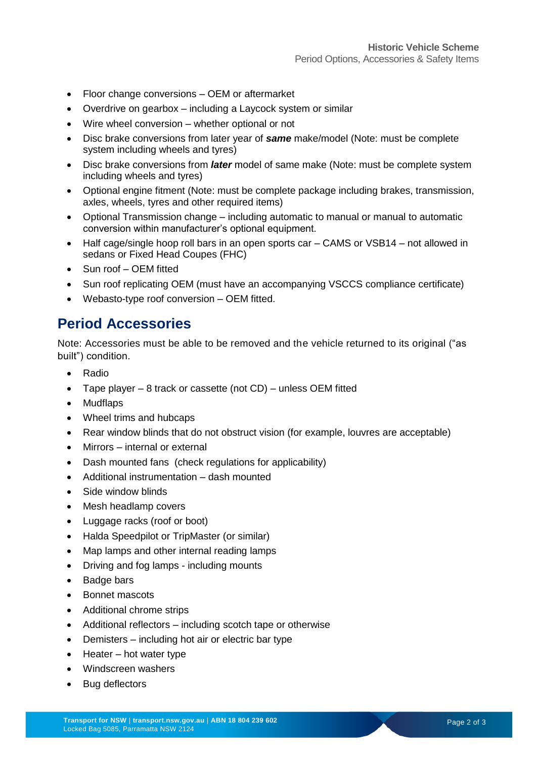- Floor change conversions OEM or aftermarket
- Overdrive on gearbox including a Laycock system or similar
- Wire wheel conversion whether optional or not
- Disc brake conversions from later year of *same* make/model (Note: must be complete system including wheels and tyres)
- Disc brake conversions from *later* model of same make (Note: must be complete system including wheels and tyres)
- Optional engine fitment (Note: must be complete package including brakes, transmission, axles, wheels, tyres and other required items)
- Optional Transmission change including automatic to manual or manual to automatic conversion within manufacturer's optional equipment.
- Half cage/single hoop roll bars in an open sports car CAMS or VSB14 not allowed in sedans or Fixed Head Coupes (FHC)
- Sun roof OEM fitted
- Sun roof replicating OEM (must have an accompanying VSCCS compliance certificate)
- Webasto-type roof conversion OEM fitted.

## **Period Accessories**

Note: Accessories must be able to be removed and the vehicle returned to its original ("as built") condition.

- Radio
- Tape player 8 track or cassette (not CD) unless OEM fitted
- Mudflaps
- Wheel trims and hubcaps
- Rear window blinds that do not obstruct vision (for example, louvres are acceptable)
- Mirrors internal or external
- Dash mounted fans (check regulations for applicability)
- Additional instrumentation dash mounted
- Side window blinds
- Mesh headlamp covers
- Luggage racks (roof or boot)
- Halda Speedpilot or TripMaster (or similar)
- Map lamps and other internal reading lamps
- Driving and fog lamps including mounts
- Badge bars
- Bonnet mascots
- Additional chrome strips
- Additional reflectors including scotch tape or otherwise
- Demisters including hot air or electric bar type
- $\bullet$  Heater hot water type
- Windscreen washers
- Bug deflectors